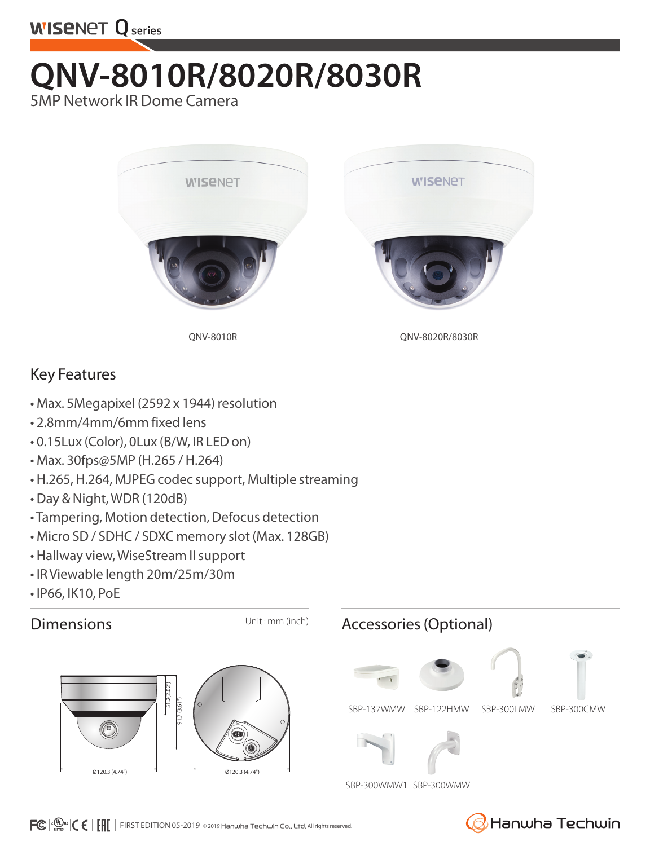

## **QNV-8010R/8020R/8030R**

5MP Network IR Dome Camera



## Key Features

- Max. 5Megapixel (2592 x 1944) resolution
- 2.8mm/4mm/6mm fixed lens
- 0.15Lux (Color), 0Lux (B/W, IR LED on)
- Max. 30fps@5MP (H.265 / H.264)
- H.265, H.264, MJPEG codec support, Multiple streaming
- Day & Night, WDR (120dB)
- Tampering, Motion detection, Defocus detection
- Micro SD / SDHC / SDXC memory slot (Max. 128GB)
- Hallway view, WiseStream II support
- IR Viewable length 20m/25m/30m
- IP66, IK10, PoE





## Dimensions Unit: mm (inch) Accessories (Optional)





SBP-300WMW1 SBP-300WMW



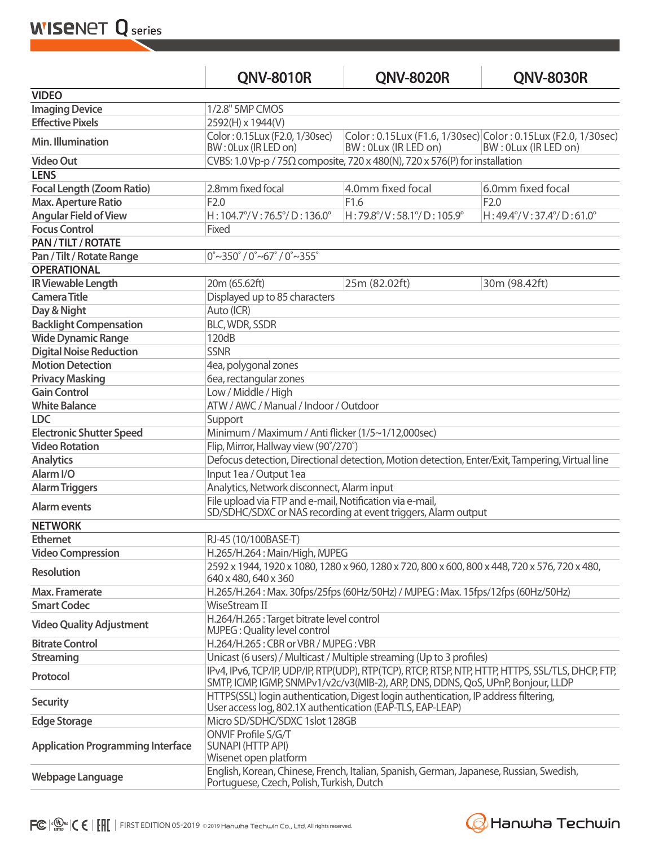**WISENET Q** series

|                                          | <b>QNV-8010R</b>                                                                                                                                                                      | <b>ONV-8020R</b>                                                                    | <b>QNV-8030R</b>                                                                      |  |  |
|------------------------------------------|---------------------------------------------------------------------------------------------------------------------------------------------------------------------------------------|-------------------------------------------------------------------------------------|---------------------------------------------------------------------------------------|--|--|
| <b>VIDEO</b>                             |                                                                                                                                                                                       |                                                                                     |                                                                                       |  |  |
| <b>Imaging Device</b>                    | 1/2.8" 5MP CMOS                                                                                                                                                                       |                                                                                     |                                                                                       |  |  |
| <b>Effective Pixels</b>                  | 2592(H) x 1944(V)                                                                                                                                                                     |                                                                                     |                                                                                       |  |  |
| Min. Illumination                        | Color: 0.15Lux (F2.0, 1/30sec)<br>BW: 0Lux (IR LED on)                                                                                                                                | BW: 0Lux (IR LED on)                                                                | Color: 0.15Lux (F1.6, 1/30sec) Color: 0.15Lux (F2.0, 1/30sec)<br>BW: 0Lux (IR LED on) |  |  |
| <b>Video Out</b>                         |                                                                                                                                                                                       | CVBS: 1.0 Vp-p / 75 $\Omega$ composite, 720 x 480(N), 720 x 576(P) for installation |                                                                                       |  |  |
| <b>LENS</b>                              |                                                                                                                                                                                       |                                                                                     |                                                                                       |  |  |
| <b>Focal Length (Zoom Ratio)</b>         | 2.8mm fixed focal                                                                                                                                                                     | 4.0mm fixed focal                                                                   | 6.0mm fixed focal                                                                     |  |  |
| <b>Max. Aperture Ratio</b>               | F <sub>2.0</sub>                                                                                                                                                                      | F1.6                                                                                | F2.0                                                                                  |  |  |
| <b>Angular Field of View</b>             | $H: 104.7^{\circ}/V: 76.5^{\circ}/D: 136.0^{\circ}$                                                                                                                                   | H:79.8°/V:58.1°/D:105.9°                                                            | $H: 49.4^{\circ}/V: 37.4^{\circ}/D: 61.0^{\circ}$                                     |  |  |
| <b>Focus Control</b>                     | Fixed                                                                                                                                                                                 |                                                                                     |                                                                                       |  |  |
| PAN / TILT / ROTATE                      |                                                                                                                                                                                       |                                                                                     |                                                                                       |  |  |
| Pan / Tilt / Rotate Range                | $0^{\circ}$ ~350 $^{\circ}$ / 0 $^{\circ}$ ~67 $^{\circ}$ / 0 $^{\circ}$ ~355 $^{\circ}$                                                                                              |                                                                                     |                                                                                       |  |  |
| <b>OPERATIONAL</b>                       |                                                                                                                                                                                       |                                                                                     |                                                                                       |  |  |
| <b>IR Viewable Length</b>                | 20m (65.62ft)                                                                                                                                                                         | 25m (82.02ft)                                                                       | 30m (98.42ft)                                                                         |  |  |
| <b>Camera Title</b>                      | Displayed up to 85 characters                                                                                                                                                         |                                                                                     |                                                                                       |  |  |
| Day & Night                              | Auto (ICR)                                                                                                                                                                            |                                                                                     |                                                                                       |  |  |
| <b>Backlight Compensation</b>            | <b>BLC, WDR, SSDR</b>                                                                                                                                                                 |                                                                                     |                                                                                       |  |  |
| <b>Wide Dynamic Range</b>                | 120dB                                                                                                                                                                                 |                                                                                     |                                                                                       |  |  |
| <b>Digital Noise Reduction</b>           | <b>SSNR</b>                                                                                                                                                                           |                                                                                     |                                                                                       |  |  |
| <b>Motion Detection</b>                  | 4ea, polygonal zones                                                                                                                                                                  |                                                                                     |                                                                                       |  |  |
| <b>Privacy Masking</b>                   | 6ea, rectangular zones                                                                                                                                                                |                                                                                     |                                                                                       |  |  |
| <b>Gain Control</b>                      | Low / Middle / High                                                                                                                                                                   |                                                                                     |                                                                                       |  |  |
| <b>White Balance</b>                     | ATW / AWC / Manual / Indoor / Outdoor                                                                                                                                                 |                                                                                     |                                                                                       |  |  |
| <b>LDC</b>                               | Support                                                                                                                                                                               |                                                                                     |                                                                                       |  |  |
| <b>Electronic Shutter Speed</b>          | Minimum / Maximum / Anti flicker (1/5~1/12,000sec)                                                                                                                                    |                                                                                     |                                                                                       |  |  |
| <b>Video Rotation</b>                    | Flip, Mirror, Hallway view (90°/270°)                                                                                                                                                 |                                                                                     |                                                                                       |  |  |
| <b>Analytics</b>                         | Defocus detection, Directional detection, Motion detection, Enter/Exit, Tampering, Virtual line                                                                                       |                                                                                     |                                                                                       |  |  |
| Alarm I/O                                | Input 1ea / Output 1ea                                                                                                                                                                |                                                                                     |                                                                                       |  |  |
| <b>Alarm Triggers</b>                    | Analytics, Network disconnect, Alarm input                                                                                                                                            |                                                                                     |                                                                                       |  |  |
| <b>Alarm events</b>                      | File upload via FTP and e-mail, Notification via e-mail,<br>SD/SDHC/SDXC or NAS recording at event triggers, Alarm output                                                             |                                                                                     |                                                                                       |  |  |
| <b>NETWORK</b>                           |                                                                                                                                                                                       |                                                                                     |                                                                                       |  |  |
| <b>Ethernet</b>                          | RJ-45 (10/100BASE-T)                                                                                                                                                                  |                                                                                     |                                                                                       |  |  |
| <b>Video Compression</b>                 | H.265/H.264: Main/High, MJPEG                                                                                                                                                         |                                                                                     |                                                                                       |  |  |
| <b>Resolution</b>                        | 2592 x 1944, 1920 x 1080, 1280 x 960, 1280 x 720, 800 x 600, 800 x 448, 720 x 576, 720 x 480,<br>640 x 480, 640 x 360                                                                 |                                                                                     |                                                                                       |  |  |
| <b>Max. Framerate</b>                    | H.265/H.264: Max. 30fps/25fps (60Hz/50Hz) / MJPEG: Max. 15fps/12fps (60Hz/50Hz)                                                                                                       |                                                                                     |                                                                                       |  |  |
| <b>Smart Codec</b>                       | WiseStream II                                                                                                                                                                         |                                                                                     |                                                                                       |  |  |
| <b>Video Quality Adjustment</b>          | H.264/H.265 : Target bitrate level control<br>MJPEG: Quality level control                                                                                                            |                                                                                     |                                                                                       |  |  |
| <b>Bitrate Control</b>                   | H.264/H.265: CBR or VBR / MJPEG: VBR                                                                                                                                                  |                                                                                     |                                                                                       |  |  |
| <b>Streaming</b>                         | Unicast (6 users) / Multicast / Multiple streaming (Up to 3 profiles)                                                                                                                 |                                                                                     |                                                                                       |  |  |
| Protocol                                 | IPv4, IPv6, TCP/IP, UDP/IP, RTP(UDP), RTP(TCP), RTCP, RTSP, NTP, HTTP, HTTPS, SSL/TLS, DHCP, FTP,<br>SMTP, ICMP, IGMP, SNMPv1/v2c/v3(MIB-2), ARP, DNS, DDNS, QoS, UPnP, Bonjour, LLDP |                                                                                     |                                                                                       |  |  |
| <b>Security</b>                          | HTTPS(SSL) login authentication, Digest login authentication, IP address filtering,<br>User access log, 802.1X authentication (EAP-TLS, EAP-LEAP)                                     |                                                                                     |                                                                                       |  |  |
| <b>Edge Storage</b>                      | Micro SD/SDHC/SDXC 1slot 128GB                                                                                                                                                        |                                                                                     |                                                                                       |  |  |
| <b>Application Programming Interface</b> | ONVIF Profile S/G/T<br><b>SUNAPI (HTTP API)</b><br>Wisenet open platform                                                                                                              |                                                                                     |                                                                                       |  |  |
| Webpage Language                         | English, Korean, Chinese, French, Italian, Spanish, German, Japanese, Russian, Swedish,<br>Portuguese, Czech, Polish, Turkish, Dutch                                                  |                                                                                     |                                                                                       |  |  |